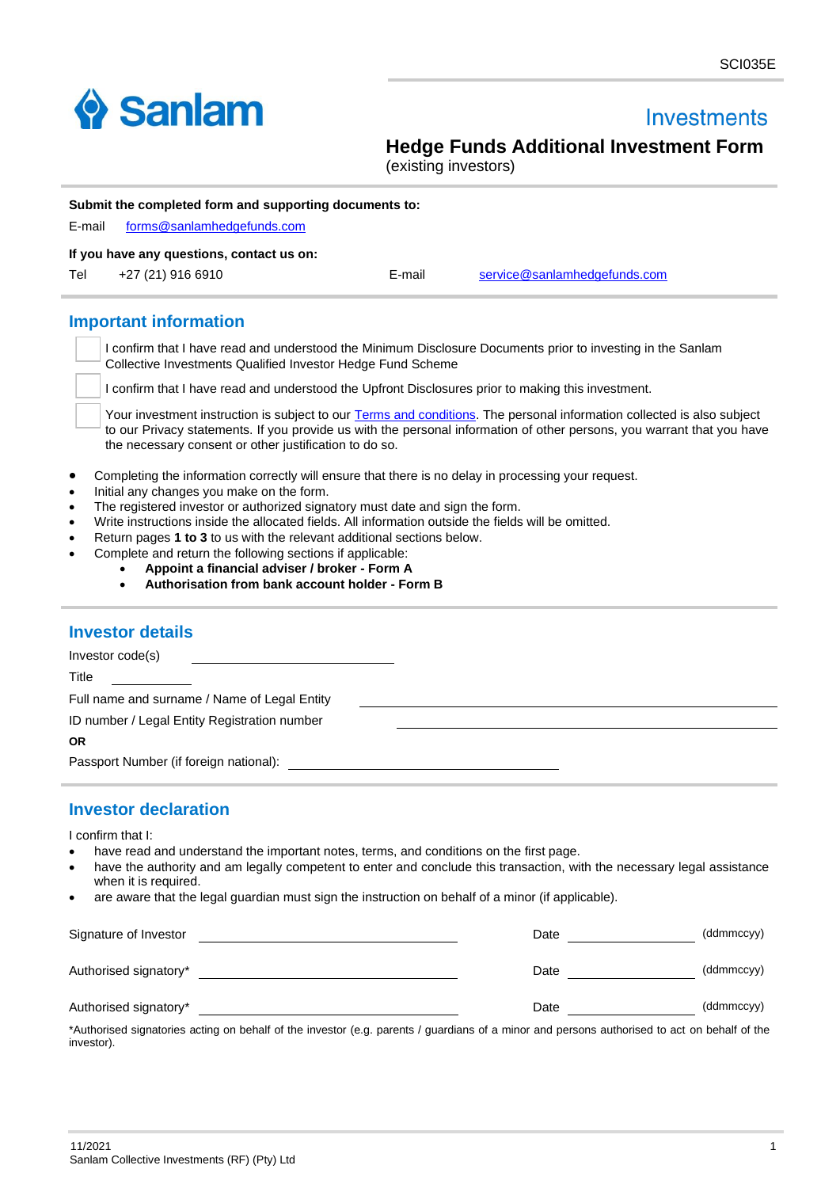

i.

# **Investments**

**Hedge Funds Additional Investment Form**

(existing investors)

| E-mail                 | Submit the completed form and supporting documents to:                                                                                                                                                                           |        |                                                                                                                                                                                                                                                  |
|------------------------|----------------------------------------------------------------------------------------------------------------------------------------------------------------------------------------------------------------------------------|--------|--------------------------------------------------------------------------------------------------------------------------------------------------------------------------------------------------------------------------------------------------|
|                        | forms@sanlamhedgefunds.com                                                                                                                                                                                                       |        |                                                                                                                                                                                                                                                  |
|                        | If you have any questions, contact us on:                                                                                                                                                                                        |        |                                                                                                                                                                                                                                                  |
| Tel                    | +27 (21) 916 6910                                                                                                                                                                                                                | E-mail | service@sanlamhedgefunds.com                                                                                                                                                                                                                     |
|                        | <b>Important information</b>                                                                                                                                                                                                     |        |                                                                                                                                                                                                                                                  |
|                        | Collective Investments Qualified Investor Hedge Fund Scheme                                                                                                                                                                      |        | I confirm that I have read and understood the Minimum Disclosure Documents prior to investing in the Sanlam                                                                                                                                      |
|                        | I confirm that I have read and understood the Upfront Disclosures prior to making this investment.                                                                                                                               |        |                                                                                                                                                                                                                                                  |
|                        | the necessary consent or other justification to do so.                                                                                                                                                                           |        | Your investment instruction is subject to our Terms and conditions. The personal information collected is also subject<br>to our Privacy statements. If you provide us with the personal information of other persons, you warrant that you have |
| $\bullet$<br>$\bullet$ | Completing the information correctly will ensure that there is no delay in processing your request.<br>Initial any changes you make on the form.<br>The registered investor or authorized signatory must date and sign the form. |        |                                                                                                                                                                                                                                                  |
| $\bullet$<br>$\bullet$ | Write instructions inside the allocated fields. All information outside the fields will be omitted.                                                                                                                              |        |                                                                                                                                                                                                                                                  |
| $\bullet$              | Return pages 1 to 3 to us with the relevant additional sections below.                                                                                                                                                           |        |                                                                                                                                                                                                                                                  |
| $\bullet$              | Complete and return the following sections if applicable:                                                                                                                                                                        |        |                                                                                                                                                                                                                                                  |
|                        | Appoint a financial adviser / broker - Form A                                                                                                                                                                                    |        |                                                                                                                                                                                                                                                  |
|                        | Authorisation from bank account holder - Form B                                                                                                                                                                                  |        |                                                                                                                                                                                                                                                  |
|                        |                                                                                                                                                                                                                                  |        |                                                                                                                                                                                                                                                  |
|                        | <b>Investor details</b>                                                                                                                                                                                                          |        |                                                                                                                                                                                                                                                  |
|                        | Investor code(s)                                                                                                                                                                                                                 |        |                                                                                                                                                                                                                                                  |
|                        |                                                                                                                                                                                                                                  |        |                                                                                                                                                                                                                                                  |

Title Full name and surname / Name of Legal Entity ID number / Legal Entity Registration number **OR** Passport Number (if foreign national):

## **Investor declaration**

I confirm that I:

- have read and understand the important notes, terms, and conditions on the first page.
- have the authority and am legally competent to enter and conclude this transaction, with the necessary legal assistance when it is required.
- are aware that the legal guardian must sign the instruction on behalf of a minor (if applicable).

| Signature of Investor                                                                                                                                                                                                                                                                                                                                                                                                                                                                                                                                                                      | Date                         | (ddmmccyy)                                                        |
|--------------------------------------------------------------------------------------------------------------------------------------------------------------------------------------------------------------------------------------------------------------------------------------------------------------------------------------------------------------------------------------------------------------------------------------------------------------------------------------------------------------------------------------------------------------------------------------------|------------------------------|-------------------------------------------------------------------|
| Authorised signatory*                                                                                                                                                                                                                                                                                                                                                                                                                                                                                                                                                                      | Date                         | (ddmmccyy)                                                        |
| Authorised signatory*<br>$\mathcal{L}(\mathbf{A}) = \mathcal{L}(\mathbf{A}) = \mathcal{L}(\mathbf{A}) = \mathcal{L}(\mathbf{A}) = \mathcal{L}(\mathbf{A}) = \mathcal{L}(\mathbf{A}) = \mathcal{L}(\mathbf{A}) = \mathcal{L}(\mathbf{A}) = \mathcal{L}(\mathbf{A}) = \mathcal{L}(\mathbf{A}) = \mathcal{L}(\mathbf{A}) = \mathcal{L}(\mathbf{A}) = \mathcal{L}(\mathbf{A}) = \mathcal{L}(\mathbf{A}) = \mathcal{L}(\mathbf{A}) = \mathcal{L}(\mathbf{A}) = \mathcal{L}(\mathbf{A})$<br>$\mathbf{r}$ , and $\mathbf{r}$ , and $\mathbf{r}$ , and $\mathbf{r}$ , and $\mathbf{r}$<br>$\cdots$ | Date<br>$\sim$ $\sim$ $\sim$ | (ddmmccyy)<br>$\mathbf{a}$ , and a set of the set of $\mathbf{a}$ |

\*Authorised signatories acting on behalf of the investor (e.g. parents / guardians of a minor and persons authorised to act on behalf of the investor).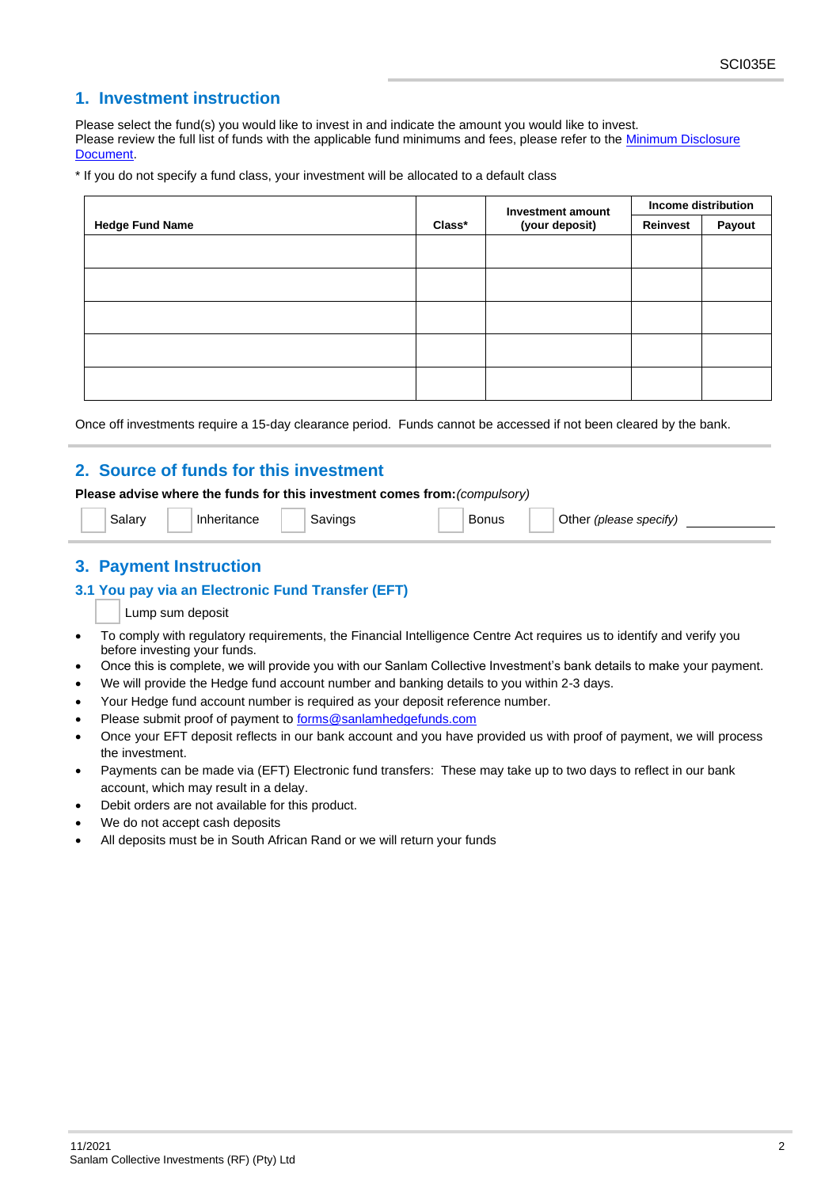## **1. Investment instruction**

Please select the fund(s) you would like to invest in and indicate the amount you would like to invest. Please review the full list of funds with the applicable fund minimums and fees, please refer to the Minimum Disclosure **Document** 

\* If you do not specify a fund class, your investment will be allocated to a default class

|                        |        | Investment amount | Income distribution |        |
|------------------------|--------|-------------------|---------------------|--------|
| <b>Hedge Fund Name</b> | Class* | (your deposit)    | Reinvest            | Payout |
|                        |        |                   |                     |        |
|                        |        |                   |                     |        |
|                        |        |                   |                     |        |
|                        |        |                   |                     |        |
|                        |        |                   |                     |        |
|                        |        |                   |                     |        |
|                        |        |                   |                     |        |
|                        |        |                   |                     |        |
|                        |        |                   |                     |        |

Once off investments require a 15-day clearance period. Funds cannot be accessed if not been cleared by the bank.

## **2. Source of funds for this investment**

### **Please advise where the funds for this investment comes from:***(compulsory)*

Salary Inheritance Savings Bonus Other *(please specify)* 

## **3. Payment Instruction**

### **3.1 You pay via an Electronic Fund Transfer (EFT)**

Lump sum deposit

- To comply with regulatory requirements, the Financial Intelligence Centre Act requires us to identify and verify you before investing your funds.
- Once this is complete, we will provide you with our Sanlam Collective Investment's bank details to make your payment.
- We will provide the Hedge fund account number and banking details to you within 2-3 days.
- Your Hedge fund account number is required as your deposit reference number.
- Please submit proof of payment to forms@sanlamhedgefunds.com
- Once your EFT deposit reflects in our bank account and you have provided us with proof of payment, we will process the investment.
- Payments can be made via (EFT) Electronic fund transfers: These may take up to two days to reflect in our bank account, which may result in a delay.
- Debit orders are not available for this product.
- We do not accept cash deposits
- All deposits must be in South African Rand or we will return your funds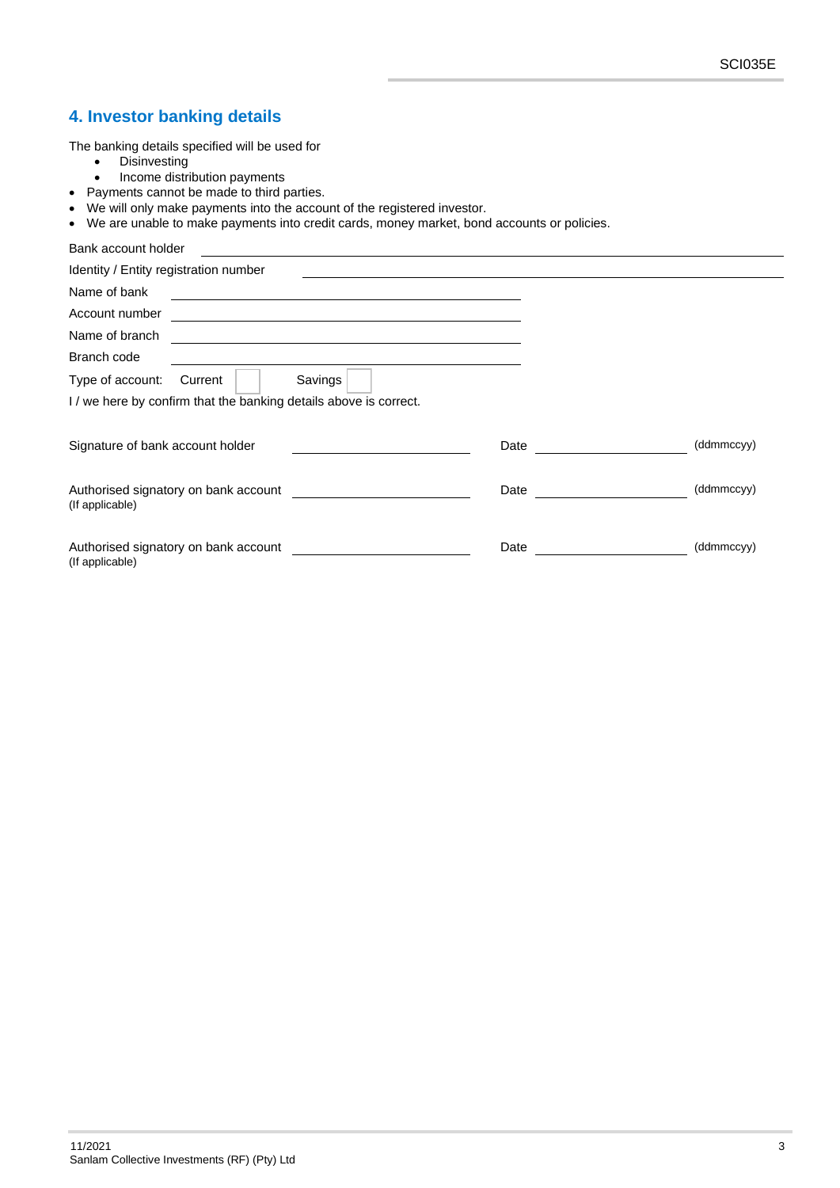## **4. Investor banking details**

The banking details specified will be used for

- Disinvesting
- Income distribution payments
- Payments cannot be made to third parties.
- We will only make payments into the account of the registered investor.
- We are unable to make payments into credit cards, money market, bond accounts or policies.

| Bank account holder                                               |      |            |
|-------------------------------------------------------------------|------|------------|
| Identity / Entity registration number                             |      |            |
| Name of bank                                                      |      |            |
| Account number                                                    |      |            |
| Name of branch                                                    |      |            |
| Branch code                                                       |      |            |
| Savings<br>Type of account:<br>Current                            |      |            |
| I / we here by confirm that the banking details above is correct. |      |            |
| Signature of bank account holder                                  | Date | (ddmmccyy) |
| Authorised signatory on bank account<br>(If applicable)           | Date | (ddmmccyy) |
| Authorised signatory on bank account<br>(If applicable)           | Date | (ddmmccyy) |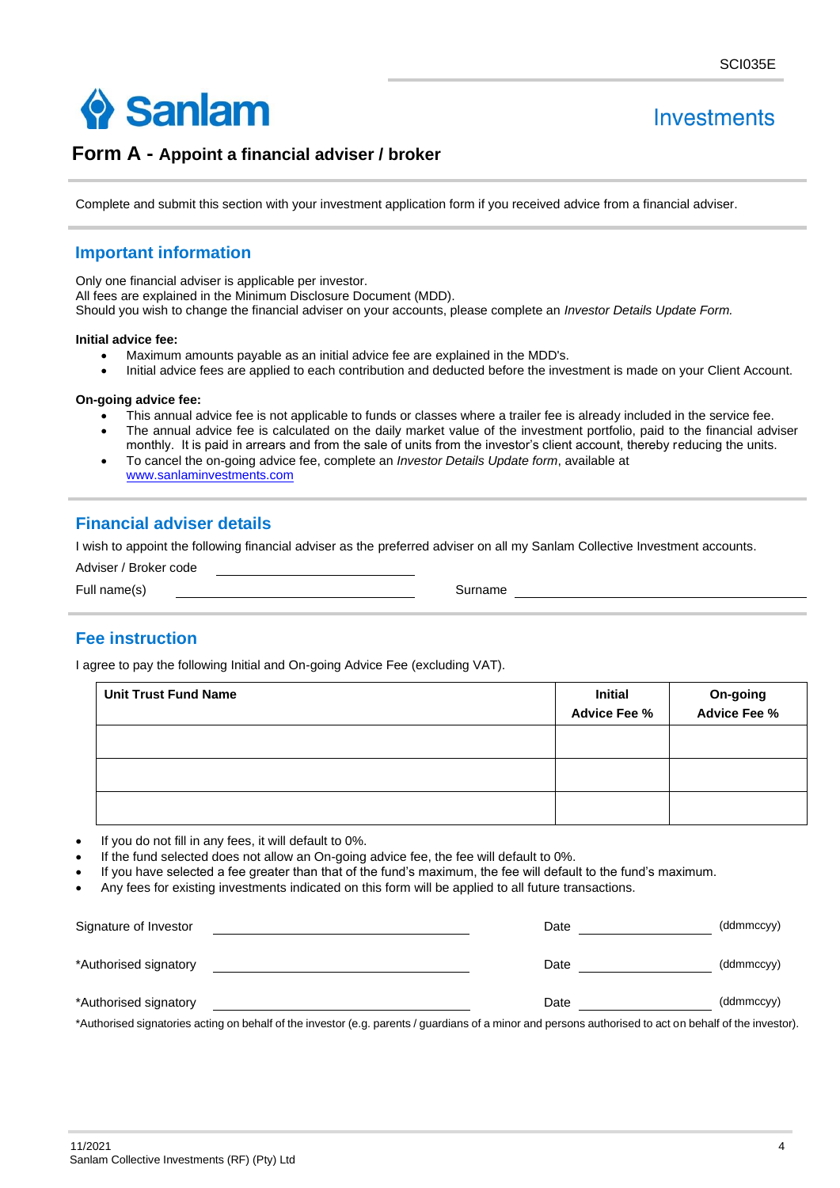

# Investments

## **Form A - Appoint a financial adviser / broker**

Complete and submit this section with your investment application form if you received advice from a financial adviser.

## **Important information**

Only one financial adviser is applicable per investor.

All fees are explained in the Minimum Disclosure Document (MDD).

Should you wish to change the financial adviser on your accounts, please complete an *Investor Details Update Form.*

#### **Initial advice fee:**

- Maximum amounts payable as an initial advice fee are explained in the MDD's.
- Initial advice fees are applied to each contribution and deducted before the investment is made on your Client Account.

#### **On-going advice fee:**

- This annual advice fee is not applicable to funds or classes where a trailer fee is already included in the service fee.
- The annual advice fee is calculated on the daily market value of the investment portfolio, paid to the financial adviser monthly. It is paid in arrears and from the sale of units from the investor's client account, thereby reducing the units.
- To cancel the on-going advice fee, complete an *Investor Details Update form*, available at [www.sanlaminvestments.com](https://www.sanlaminvestments.com/individual/fundsandproducts/hedgefunds/Pages/default.aspx)

## **Financial adviser details**

I wish to appoint the following financial adviser as the preferred adviser on all my Sanlam Collective Investment accounts.

| Adviser / Broker code |         |
|-----------------------|---------|
| Full name(s)          | Surname |

## **Fee instruction**

I agree to pay the following Initial and On-going Advice Fee (excluding VAT).

| <b>Unit Trust Fund Name</b> | <b>Initial</b><br><b>Advice Fee %</b> | <b>On-going<br/>Advice Fee %</b> |
|-----------------------------|---------------------------------------|----------------------------------|
|                             |                                       |                                  |
|                             |                                       |                                  |
|                             |                                       |                                  |

- If you do not fill in any fees, it will default to 0%.
- If the fund selected does not allow an On-going advice fee, the fee will default to 0%.
- If you have selected a fee greater than that of the fund's maximum, the fee will default to the fund's maximum.
- Any fees for existing investments indicated on this form will be applied to all future transactions.

| Signature of Investor                                                                                                                                   | Date | (ddmmccyy) |
|---------------------------------------------------------------------------------------------------------------------------------------------------------|------|------------|
| *Authorised signatory                                                                                                                                   | Date | (ddmmccyy) |
| *Authorised signatory                                                                                                                                   | Date | (ddmmccyy) |
| *Authorised signatories acting on behalf of the investor (e.g. parents / guardians of a minor and persons authorised to act on behalf of the investor). |      |            |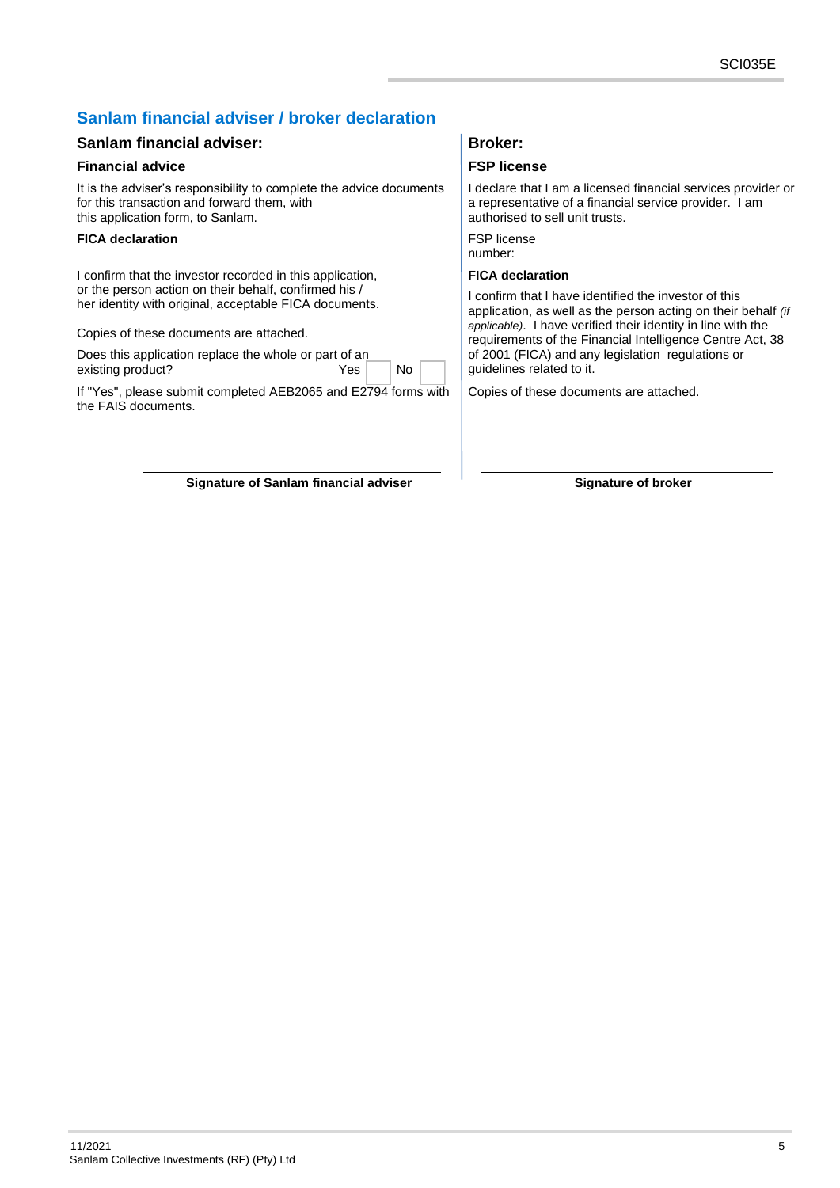## **Sanlam financial adviser / broker declaration**

## **Sanlam financial adviser: Broker: Broker:**

## **Financial advice Financial advice FSP license**

It is the adviser's responsibility to complete the advice documents for this transaction and forward them, with this application form, to Sanlam.

### **FICA declaration** FICA **declaration**

I confirm that the investor recorded in this application, or the person action on their behalf, confirmed his / her identity with original, acceptable FICA documents.

Copies of these documents are attached.

Does this application replace the whole or part of an existing product? The No Yes No

If "Yes", please submit completed AEB2065 and E2794 forms with the FAIS documents.

**Signature of Sanlam financial adviser Signature of broker**

I declare that I am a licensed financial services provider or a representative of a financial service provider. I am authorised to sell unit trusts.

number:

## **FICA declaration**

I confirm that I have identified the investor of this application, as well as the person acting on their behalf *(if applicable)*. I have verified their identity in line with the requirements of the Financial Intelligence Centre Act, 38 of 2001 (FICA) and any legislation regulations or guidelines related to it.

Copies of these documents are attached.